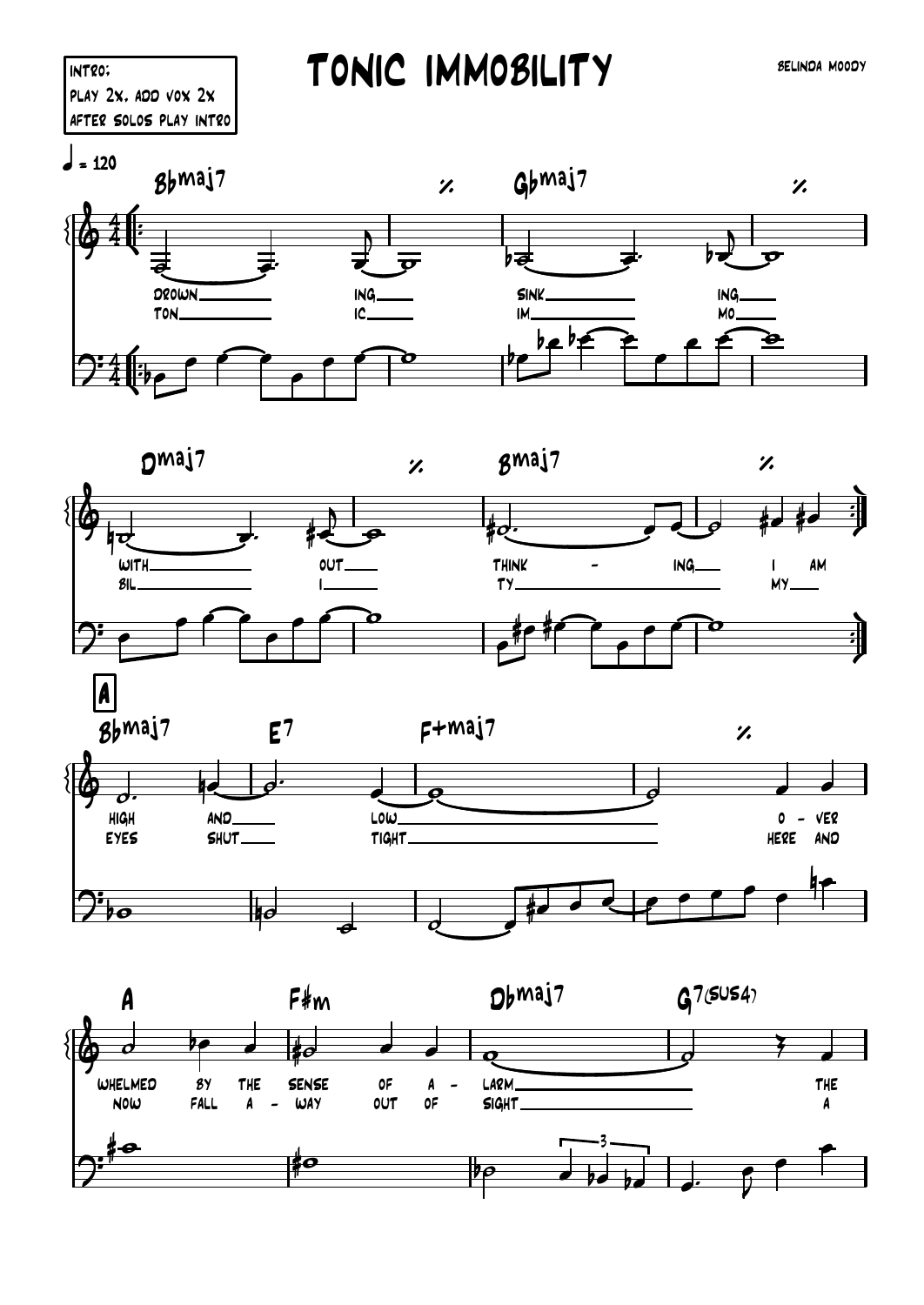## TONIC IMMOBILITY

**SELINDA MOODY**